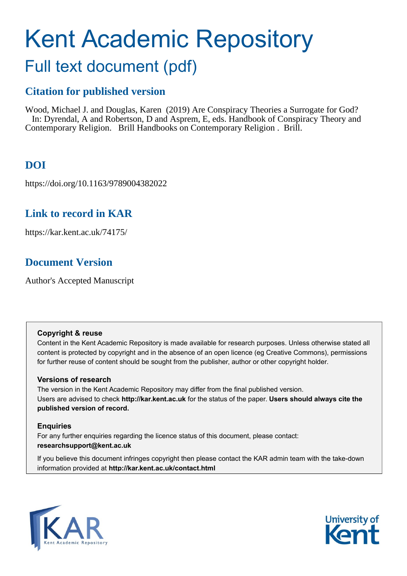# Kent Academic Repository

## Full text document (pdf)

## **Citation for published version**

Wood, Michael J. and Douglas, Karen (2019) Are Conspiracy Theories a Surrogate for God? In: Dyrendal, A and Robertson, D and Asprem, E, eds. Handbook of Conspiracy Theory and Contemporary Religion. Brill Handbooks on Contemporary Religion . Brill.

## **DOI**

https://doi.org/10.1163/9789004382022

## **Link to record in KAR**

https://kar.kent.ac.uk/74175/

## **Document Version**

Author's Accepted Manuscript

#### **Copyright & reuse**

Content in the Kent Academic Repository is made available for research purposes. Unless otherwise stated all content is protected by copyright and in the absence of an open licence (eg Creative Commons), permissions for further reuse of content should be sought from the publisher, author or other copyright holder.

#### **Versions of research**

The version in the Kent Academic Repository may differ from the final published version. Users are advised to check **http://kar.kent.ac.uk** for the status of the paper. **Users should always cite the published version of record.**

#### **Enquiries**

For any further enquiries regarding the licence status of this document, please contact: **researchsupport@kent.ac.uk**

If you believe this document infringes copyright then please contact the KAR admin team with the take-down information provided at **http://kar.kent.ac.uk/contact.html**



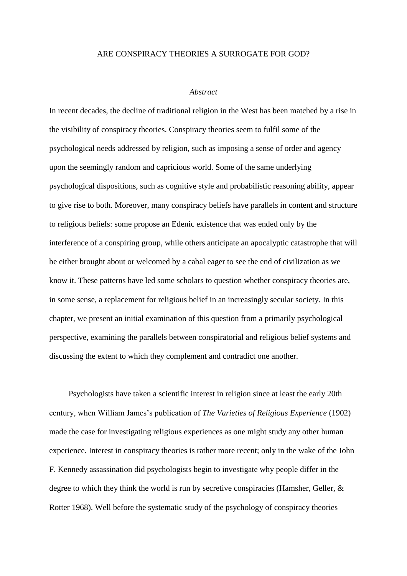#### ARE CONSPIRACY THEORIES A SURROGATE FOR GOD?

#### *Abstract*

In recent decades, the decline of traditional religion in the West has been matched by a rise in the visibility of conspiracy theories. Conspiracy theories seem to fulfil some of the psychological needs addressed by religion, such as imposing a sense of order and agency upon the seemingly random and capricious world. Some of the same underlying psychological dispositions, such as cognitive style and probabilistic reasoning ability, appear to give rise to both. Moreover, many conspiracy beliefs have parallels in content and structure to religious beliefs: some propose an Edenic existence that was ended only by the interference of a conspiring group, while others anticipate an apocalyptic catastrophe that will be either brought about or welcomed by a cabal eager to see the end of civilization as we know it. These patterns have led some scholars to question whether conspiracy theories are, in some sense, a replacement for religious belief in an increasingly secular society. In this chapter, we present an initial examination of this question from a primarily psychological perspective, examining the parallels between conspiratorial and religious belief systems and discussing the extent to which they complement and contradict one another.

Psychologists have taken a scientific interest in religion since at least the early 20th century, when William James's publication of *The Varieties of Religious Experience* (1902) made the case for investigating religious experiences as one might study any other human experience. Interest in conspiracy theories is rather more recent; only in the wake of the John F. Kennedy assassination did psychologists begin to investigate why people differ in the degree to which they think the world is run by secretive conspiracies (Hamsher, Geller, & Rotter 1968). Well before the systematic study of the psychology of conspiracy theories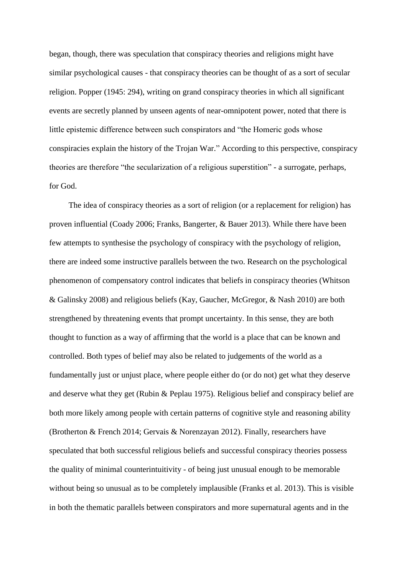began, though, there was speculation that conspiracy theories and religions might have similar psychological causes - that conspiracy theories can be thought of as a sort of secular religion. Popper (1945: 294), writing on grand conspiracy theories in which all significant events are secretly planned by unseen agents of near-omnipotent power, noted that there is little epistemic difference between such conspirators and "the Homeric gods whose conspiracies explain the history of the Trojan War." According to this perspective, conspiracy theories are therefore "the secularization of a religious superstition" - a surrogate, perhaps, for God.

The idea of conspiracy theories as a sort of religion (or a replacement for religion) has proven influential (Coady 2006; Franks, Bangerter, & Bauer 2013). While there have been few attempts to synthesise the psychology of conspiracy with the psychology of religion, there are indeed some instructive parallels between the two. Research on the psychological phenomenon of compensatory control indicates that beliefs in conspiracy theories (Whitson & Galinsky 2008) and religious beliefs (Kay, Gaucher, McGregor, & Nash 2010) are both strengthened by threatening events that prompt uncertainty. In this sense, they are both thought to function as a way of affirming that the world is a place that can be known and controlled. Both types of belief may also be related to judgements of the world as a fundamentally just or unjust place, where people either do (or do not) get what they deserve and deserve what they get (Rubin & Peplau 1975). Religious belief and conspiracy belief are both more likely among people with certain patterns of cognitive style and reasoning ability (Brotherton & French 2014; Gervais & Norenzayan 2012). Finally, researchers have speculated that both successful religious beliefs and successful conspiracy theories possess the quality of minimal counterintuitivity - of being just unusual enough to be memorable without being so unusual as to be completely implausible (Franks et al. 2013). This is visible in both the thematic parallels between conspirators and more supernatural agents and in the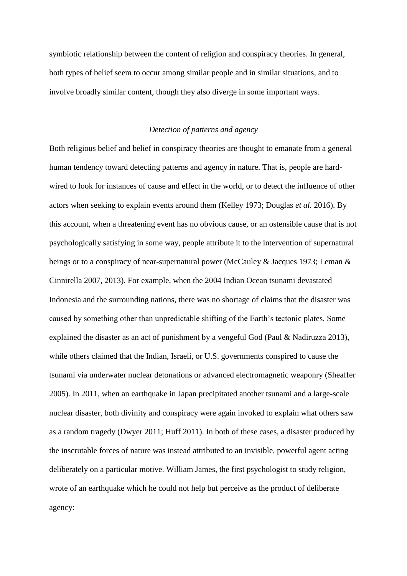symbiotic relationship between the content of religion and conspiracy theories. In general, both types of belief seem to occur among similar people and in similar situations, and to involve broadly similar content, though they also diverge in some important ways.

#### *Detection of patterns and agency*

Both religious belief and belief in conspiracy theories are thought to emanate from a general human tendency toward detecting patterns and agency in nature. That is, people are hardwired to look for instances of cause and effect in the world, or to detect the influence of other actors when seeking to explain events around them (Kelley 1973; Douglas *et al.* 2016). By this account, when a threatening event has no obvious cause, or an ostensible cause that is not psychologically satisfying in some way, people attribute it to the intervention of supernatural beings or to a conspiracy of near-supernatural power (McCauley & Jacques 1973; Leman & Cinnirella 2007, 2013). For example, when the 2004 Indian Ocean tsunami devastated Indonesia and the surrounding nations, there was no shortage of claims that the disaster was caused by something other than unpredictable shifting of the Earth's tectonic plates. Some explained the disaster as an act of punishment by a vengeful God (Paul & Nadiruzza 2013), while others claimed that the Indian, Israeli, or U.S. governments conspired to cause the tsunami via underwater nuclear detonations or advanced electromagnetic weaponry (Sheaffer 2005). In 2011, when an earthquake in Japan precipitated another tsunami and a large-scale nuclear disaster, both divinity and conspiracy were again invoked to explain what others saw as a random tragedy (Dwyer 2011; Huff 2011). In both of these cases, a disaster produced by the inscrutable forces of nature was instead attributed to an invisible, powerful agent acting deliberately on a particular motive. William James, the first psychologist to study religion, wrote of an earthquake which he could not help but perceive as the product of deliberate agency: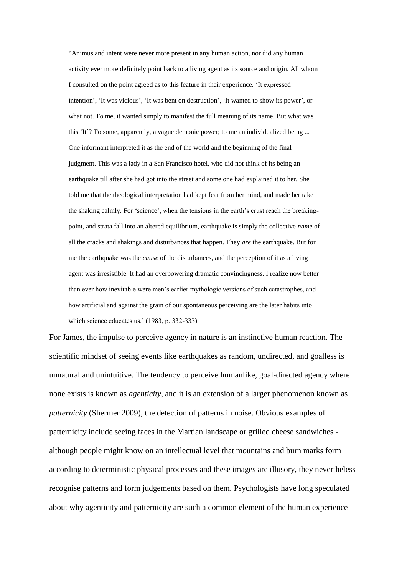"Animus and intent were never more present in any human action, nor did any human activity ever more definitely point back to a living agent as its source and origin. All whom I consulted on the point agreed as to this feature in their experience. 'It expressed intention', 'It was vicious', 'It was bent on destruction', 'It wanted to show its power', or what not. To me, it wanted simply to manifest the full meaning of its name. But what was this 'It'? To some, apparently, a vague demonic power; to me an individualized being ... One informant interpreted it as the end of the world and the beginning of the final judgment. This was a lady in a San Francisco hotel, who did not think of its being an earthquake till after she had got into the street and some one had explained it to her. She told me that the theological interpretation had kept fear from her mind, and made her take the shaking calmly. For 'science', when the tensions in the earth's crust reach the breakingpoint, and strata fall into an altered equilibrium, earthquake is simply the collective *name* of all the cracks and shakings and disturbances that happen. They *are* the earthquake. But for me the earthquake was the *cause* of the disturbances, and the perception of it as a living agent was irresistible. It had an overpowering dramatic convincingness. I realize now better than ever how inevitable were men's earlier mythologic versions of such catastrophes, and how artificial and against the grain of our spontaneous perceiving are the later habits into which science educates us.' (1983, p. 332-333)

For James, the impulse to perceive agency in nature is an instinctive human reaction. The scientific mindset of seeing events like earthquakes as random, undirected, and goalless is unnatural and unintuitive. The tendency to perceive humanlike, goal-directed agency where none exists is known as *agenticity*, and it is an extension of a larger phenomenon known as *patternicity* (Shermer 2009), the detection of patterns in noise. Obvious examples of patternicity include seeing faces in the Martian landscape or grilled cheese sandwiches although people might know on an intellectual level that mountains and burn marks form according to deterministic physical processes and these images are illusory, they nevertheless recognise patterns and form judgements based on them. Psychologists have long speculated about why agenticity and patternicity are such a common element of the human experience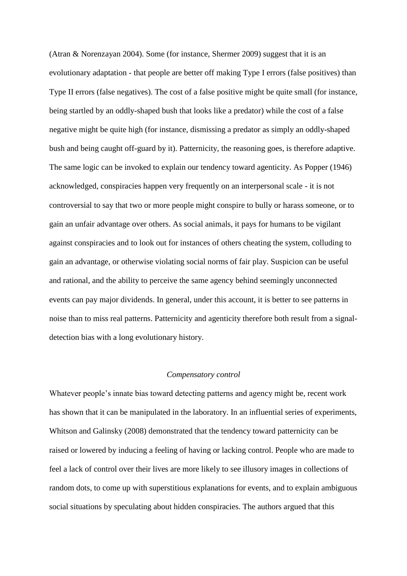(Atran & Norenzayan 2004). Some (for instance, Shermer 2009) suggest that it is an evolutionary adaptation - that people are better off making Type I errors (false positives) than Type II errors (false negatives). The cost of a false positive might be quite small (for instance, being startled by an oddly-shaped bush that looks like a predator) while the cost of a false negative might be quite high (for instance, dismissing a predator as simply an oddly-shaped bush and being caught off-guard by it). Patternicity, the reasoning goes, is therefore adaptive. The same logic can be invoked to explain our tendency toward agenticity. As Popper (1946) acknowledged, conspiracies happen very frequently on an interpersonal scale - it is not controversial to say that two or more people might conspire to bully or harass someone, or to gain an unfair advantage over others. As social animals, it pays for humans to be vigilant against conspiracies and to look out for instances of others cheating the system, colluding to gain an advantage, or otherwise violating social norms of fair play. Suspicion can be useful and rational, and the ability to perceive the same agency behind seemingly unconnected events can pay major dividends. In general, under this account, it is better to see patterns in noise than to miss real patterns. Patternicity and agenticity therefore both result from a signaldetection bias with a long evolutionary history.

#### *Compensatory control*

Whatever people's innate bias toward detecting patterns and agency might be, recent work has shown that it can be manipulated in the laboratory. In an influential series of experiments, Whitson and Galinsky (2008) demonstrated that the tendency toward patternicity can be raised or lowered by inducing a feeling of having or lacking control. People who are made to feel a lack of control over their lives are more likely to see illusory images in collections of random dots, to come up with superstitious explanations for events, and to explain ambiguous social situations by speculating about hidden conspiracies. The authors argued that this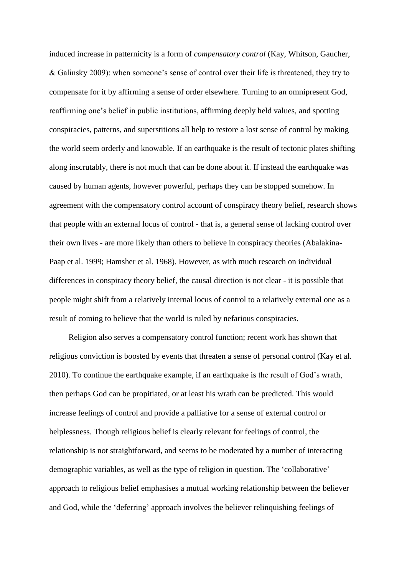induced increase in patternicity is a form of *compensatory control* (Kay, Whitson, Gaucher, & Galinsky 2009): when someone's sense of control over their life is threatened, they try to compensate for it by affirming a sense of order elsewhere. Turning to an omnipresent God, reaffirming one's belief in public institutions, affirming deeply held values, and spotting conspiracies, patterns, and superstitions all help to restore a lost sense of control by making the world seem orderly and knowable. If an earthquake is the result of tectonic plates shifting along inscrutably, there is not much that can be done about it. If instead the earthquake was caused by human agents, however powerful, perhaps they can be stopped somehow. In agreement with the compensatory control account of conspiracy theory belief, research shows that people with an external locus of control - that is, a general sense of lacking control over their own lives - are more likely than others to believe in conspiracy theories (Abalakina-Paap et al. 1999; Hamsher et al. 1968). However, as with much research on individual differences in conspiracy theory belief, the causal direction is not clear - it is possible that people might shift from a relatively internal locus of control to a relatively external one as a result of coming to believe that the world is ruled by nefarious conspiracies.

Religion also serves a compensatory control function; recent work has shown that religious conviction is boosted by events that threaten a sense of personal control (Kay et al. 2010). To continue the earthquake example, if an earthquake is the result of God's wrath, then perhaps God can be propitiated, or at least his wrath can be predicted. This would increase feelings of control and provide a palliative for a sense of external control or helplessness. Though religious belief is clearly relevant for feelings of control, the relationship is not straightforward, and seems to be moderated by a number of interacting demographic variables, as well as the type of religion in question. The 'collaborative' approach to religious belief emphasises a mutual working relationship between the believer and God, while the 'deferring' approach involves the believer relinquishing feelings of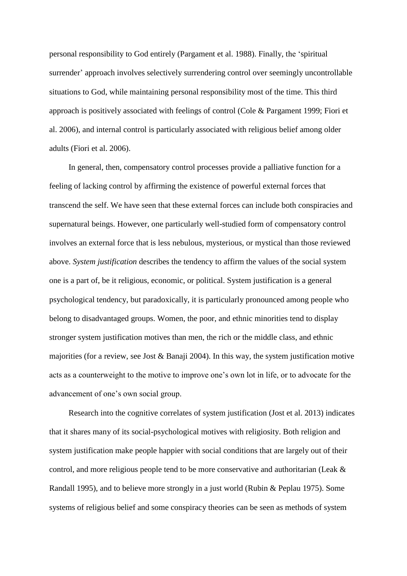personal responsibility to God entirely (Pargament et al. 1988). Finally, the 'spiritual surrender' approach involves selectively surrendering control over seemingly uncontrollable situations to God, while maintaining personal responsibility most of the time. This third approach is positively associated with feelings of control (Cole & Pargament 1999; Fiori et al. 2006), and internal control is particularly associated with religious belief among older adults (Fiori et al. 2006).

In general, then, compensatory control processes provide a palliative function for a feeling of lacking control by affirming the existence of powerful external forces that transcend the self. We have seen that these external forces can include both conspiracies and supernatural beings. However, one particularly well-studied form of compensatory control involves an external force that is less nebulous, mysterious, or mystical than those reviewed above. *System justification* describes the tendency to affirm the values of the social system one is a part of, be it religious, economic, or political. System justification is a general psychological tendency, but paradoxically, it is particularly pronounced among people who belong to disadvantaged groups. Women, the poor, and ethnic minorities tend to display stronger system justification motives than men, the rich or the middle class, and ethnic majorities (for a review, see Jost & Banaji 2004). In this way, the system justification motive acts as a counterweight to the motive to improve one's own lot in life, or to advocate for the advancement of one's own social group.

Research into the cognitive correlates of system justification (Jost et al. 2013) indicates that it shares many of its social-psychological motives with religiosity. Both religion and system justification make people happier with social conditions that are largely out of their control, and more religious people tend to be more conservative and authoritarian (Leak & Randall 1995), and to believe more strongly in a just world (Rubin & Peplau 1975). Some systems of religious belief and some conspiracy theories can be seen as methods of system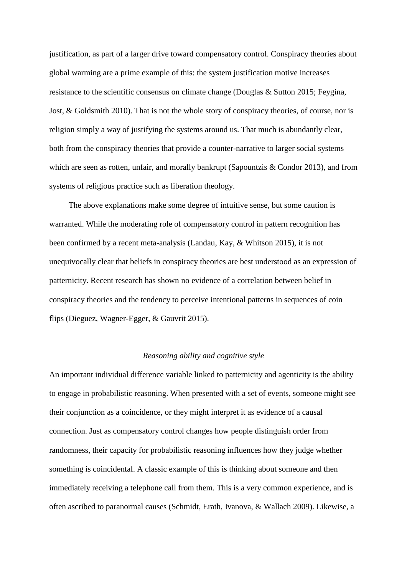justification, as part of a larger drive toward compensatory control. Conspiracy theories about global warming are a prime example of this: the system justification motive increases resistance to the scientific consensus on climate change (Douglas & Sutton 2015; Feygina, Jost, & Goldsmith 2010). That is not the whole story of conspiracy theories, of course, nor is religion simply a way of justifying the systems around us. That much is abundantly clear, both from the conspiracy theories that provide a counter-narrative to larger social systems which are seen as rotten, unfair, and morally bankrupt (Sapountzis & Condor 2013), and from systems of religious practice such as liberation theology.

The above explanations make some degree of intuitive sense, but some caution is warranted. While the moderating role of compensatory control in pattern recognition has been confirmed by a recent meta-analysis (Landau, Kay, & Whitson 2015), it is not unequivocally clear that beliefs in conspiracy theories are best understood as an expression of patternicity. Recent research has shown no evidence of a correlation between belief in conspiracy theories and the tendency to perceive intentional patterns in sequences of coin flips (Dieguez, Wagner-Egger, & Gauvrit 2015).

#### *Reasoning ability and cognitive style*

An important individual difference variable linked to patternicity and agenticity is the ability to engage in probabilistic reasoning. When presented with a set of events, someone might see their conjunction as a coincidence, or they might interpret it as evidence of a causal connection. Just as compensatory control changes how people distinguish order from randomness, their capacity for probabilistic reasoning influences how they judge whether something is coincidental. A classic example of this is thinking about someone and then immediately receiving a telephone call from them. This is a very common experience, and is often ascribed to paranormal causes (Schmidt, Erath, Ivanova, & Wallach 2009). Likewise, a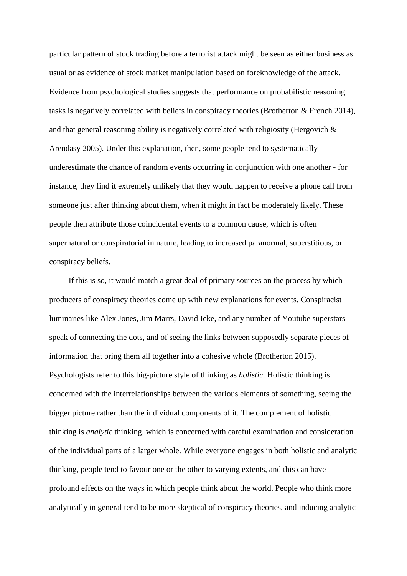particular pattern of stock trading before a terrorist attack might be seen as either business as usual or as evidence of stock market manipulation based on foreknowledge of the attack. Evidence from psychological studies suggests that performance on probabilistic reasoning tasks is negatively correlated with beliefs in conspiracy theories (Brotherton & French 2014), and that general reasoning ability is negatively correlated with religiosity (Hergovich & Arendasy 2005). Under this explanation, then, some people tend to systematically underestimate the chance of random events occurring in conjunction with one another - for instance, they find it extremely unlikely that they would happen to receive a phone call from someone just after thinking about them, when it might in fact be moderately likely. These people then attribute those coincidental events to a common cause, which is often supernatural or conspiratorial in nature, leading to increased paranormal, superstitious, or conspiracy beliefs.

If this is so, it would match a great deal of primary sources on the process by which producers of conspiracy theories come up with new explanations for events. Conspiracist luminaries like Alex Jones, Jim Marrs, David Icke, and any number of Youtube superstars speak of connecting the dots, and of seeing the links between supposedly separate pieces of information that bring them all together into a cohesive whole (Brotherton 2015). Psychologists refer to this big-picture style of thinking as *holistic*. Holistic thinking is concerned with the interrelationships between the various elements of something, seeing the bigger picture rather than the individual components of it. The complement of holistic thinking is *analytic* thinking, which is concerned with careful examination and consideration of the individual parts of a larger whole. While everyone engages in both holistic and analytic thinking, people tend to favour one or the other to varying extents, and this can have profound effects on the ways in which people think about the world. People who think more analytically in general tend to be more skeptical of conspiracy theories, and inducing analytic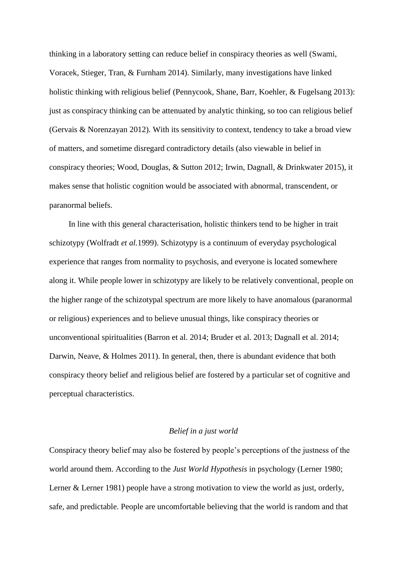thinking in a laboratory setting can reduce belief in conspiracy theories as well (Swami, Voracek, Stieger, Tran, & Furnham 2014). Similarly, many investigations have linked holistic thinking with religious belief (Pennycook, Shane, Barr, Koehler, & Fugelsang 2013): just as conspiracy thinking can be attenuated by analytic thinking, so too can religious belief (Gervais & Norenzayan 2012). With its sensitivity to context, tendency to take a broad view of matters, and sometime disregard contradictory details (also viewable in belief in conspiracy theories; Wood, Douglas, & Sutton 2012; Irwin, Dagnall, & Drinkwater 2015), it makes sense that holistic cognition would be associated with abnormal, transcendent, or paranormal beliefs.

In line with this general characterisation, holistic thinkers tend to be higher in trait schizotypy (Wolfradt *et al.*1999). Schizotypy is a continuum of everyday psychological experience that ranges from normality to psychosis, and everyone is located somewhere along it. While people lower in schizotypy are likely to be relatively conventional, people on the higher range of the schizotypal spectrum are more likely to have anomalous (paranormal or religious) experiences and to believe unusual things, like conspiracy theories or unconventional spiritualities (Barron et al. 2014; Bruder et al. 2013; Dagnall et al. 2014; Darwin, Neave, & Holmes 2011). In general, then, there is abundant evidence that both conspiracy theory belief and religious belief are fostered by a particular set of cognitive and perceptual characteristics.

#### *Belief in a just world*

Conspiracy theory belief may also be fostered by people's perceptions of the justness of the world around them. According to the *Just World Hypothesis* in psychology (Lerner 1980; Lerner & Lerner 1981) people have a strong motivation to view the world as just, orderly, safe, and predictable. People are uncomfortable believing that the world is random and that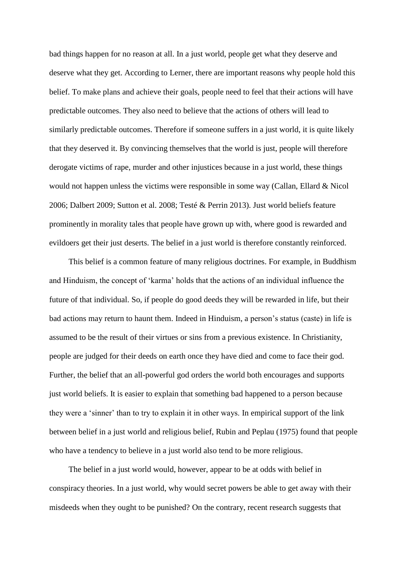bad things happen for no reason at all. In a just world, people get what they deserve and deserve what they get. According to Lerner, there are important reasons why people hold this belief. To make plans and achieve their goals, people need to feel that their actions will have predictable outcomes. They also need to believe that the actions of others will lead to similarly predictable outcomes. Therefore if someone suffers in a just world, it is quite likely that they deserved it. By convincing themselves that the world is just, people will therefore derogate victims of rape, murder and other injustices because in a just world, these things would not happen unless the victims were responsible in some way (Callan, Ellard & Nicol 2006; Dalbert 2009; Sutton et al. 2008; Testé & Perrin 2013). Just world beliefs feature prominently in morality tales that people have grown up with, where good is rewarded and evildoers get their just deserts. The belief in a just world is therefore constantly reinforced.

This belief is a common feature of many religious doctrines. For example, in Buddhism and Hinduism, the concept of 'karma' holds that the actions of an individual influence the future of that individual. So, if people do good deeds they will be rewarded in life, but their bad actions may return to haunt them. Indeed in Hinduism, a person's status (caste) in life is assumed to be the result of their virtues or sins from a previous existence. In Christianity, people are judged for their deeds on earth once they have died and come to face their god. Further, the belief that an all-powerful god orders the world both encourages and supports just world beliefs. It is easier to explain that something bad happened to a person because they were a 'sinner' than to try to explain it in other ways. In empirical support of the link between belief in a just world and religious belief, Rubin and Peplau (1975) found that people who have a tendency to believe in a just world also tend to be more religious.

The belief in a just world would, however, appear to be at odds with belief in conspiracy theories. In a just world, why would secret powers be able to get away with their misdeeds when they ought to be punished? On the contrary, recent research suggests that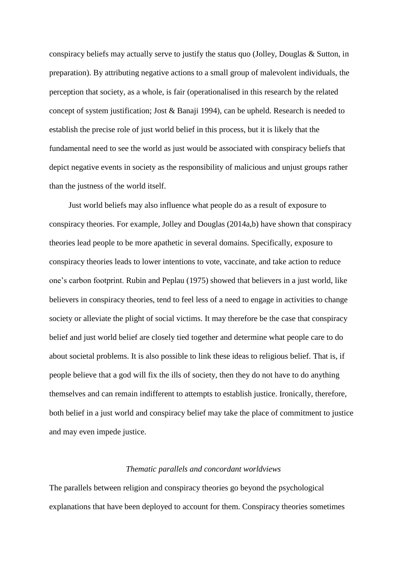conspiracy beliefs may actually serve to justify the status quo (Jolley, Douglas & Sutton, in preparation). By attributing negative actions to a small group of malevolent individuals, the perception that society, as a whole, is fair (operationalised in this research by the related concept of system justification; Jost & Banaji 1994), can be upheld. Research is needed to establish the precise role of just world belief in this process, but it is likely that the fundamental need to see the world as just would be associated with conspiracy beliefs that depict negative events in society as the responsibility of malicious and unjust groups rather than the justness of the world itself.

Just world beliefs may also influence what people do as a result of exposure to conspiracy theories. For example, Jolley and Douglas (2014a,b) have shown that conspiracy theories lead people to be more apathetic in several domains. Specifically, exposure to conspiracy theories leads to lower intentions to vote, vaccinate, and take action to reduce one's carbon footprint. Rubin and Peplau (1975) showed that believers in a just world, like believers in conspiracy theories, tend to feel less of a need to engage in activities to change society or alleviate the plight of social victims. It may therefore be the case that conspiracy belief and just world belief are closely tied together and determine what people care to do about societal problems. It is also possible to link these ideas to religious belief. That is, if people believe that a god will fix the ills of society, then they do not have to do anything themselves and can remain indifferent to attempts to establish justice. Ironically, therefore, both belief in a just world and conspiracy belief may take the place of commitment to justice and may even impede justice.

#### *Thematic parallels and concordant worldviews*

The parallels between religion and conspiracy theories go beyond the psychological explanations that have been deployed to account for them. Conspiracy theories sometimes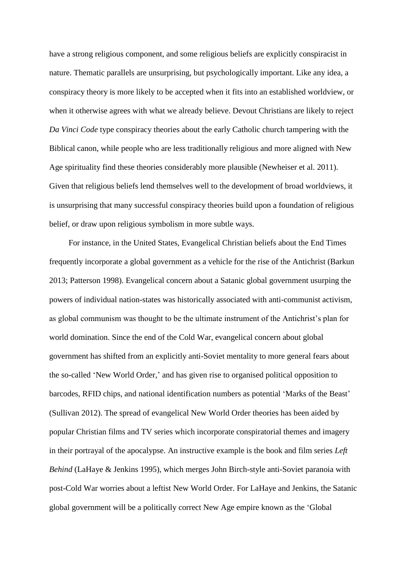have a strong religious component, and some religious beliefs are explicitly conspiracist in nature. Thematic parallels are unsurprising, but psychologically important. Like any idea, a conspiracy theory is more likely to be accepted when it fits into an established worldview, or when it otherwise agrees with what we already believe. Devout Christians are likely to reject *Da Vinci Code* type conspiracy theories about the early Catholic church tampering with the Biblical canon, while people who are less traditionally religious and more aligned with New Age spirituality find these theories considerably more plausible (Newheiser et al. 2011). Given that religious beliefs lend themselves well to the development of broad worldviews, it is unsurprising that many successful conspiracy theories build upon a foundation of religious belief, or draw upon religious symbolism in more subtle ways.

For instance, in the United States, Evangelical Christian beliefs about the End Times frequently incorporate a global government as a vehicle for the rise of the Antichrist (Barkun 2013; Patterson 1998). Evangelical concern about a Satanic global government usurping the powers of individual nation-states was historically associated with anti-communist activism, as global communism was thought to be the ultimate instrument of the Antichrist's plan for world domination. Since the end of the Cold War, evangelical concern about global government has shifted from an explicitly anti-Soviet mentality to more general fears about the so-called 'New World Order,' and has given rise to organised political opposition to barcodes, RFID chips, and national identification numbers as potential 'Marks of the Beast' (Sullivan 2012). The spread of evangelical New World Order theories has been aided by popular Christian films and TV series which incorporate conspiratorial themes and imagery in their portrayal of the apocalypse. An instructive example is the book and film series *Left Behind* (LaHaye & Jenkins 1995), which merges John Birch-style anti-Soviet paranoia with post-Cold War worries about a leftist New World Order. For LaHaye and Jenkins, the Satanic global government will be a politically correct New Age empire known as the 'Global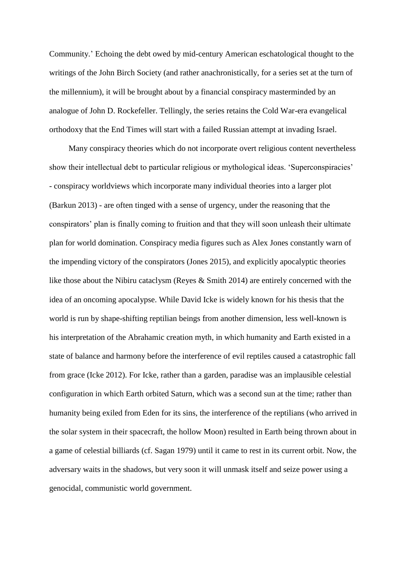Community.' Echoing the debt owed by mid-century American eschatological thought to the writings of the John Birch Society (and rather anachronistically, for a series set at the turn of the millennium), it will be brought about by a financial conspiracy masterminded by an analogue of John D. Rockefeller. Tellingly, the series retains the Cold War-era evangelical orthodoxy that the End Times will start with a failed Russian attempt at invading Israel.

Many conspiracy theories which do not incorporate overt religious content nevertheless show their intellectual debt to particular religious or mythological ideas. 'Superconspiracies' - conspiracy worldviews which incorporate many individual theories into a larger plot (Barkun 2013) - are often tinged with a sense of urgency, under the reasoning that the conspirators' plan is finally coming to fruition and that they will soon unleash their ultimate plan for world domination. Conspiracy media figures such as Alex Jones constantly warn of the impending victory of the conspirators (Jones 2015), and explicitly apocalyptic theories like those about the Nibiru cataclysm (Reyes & Smith 2014) are entirely concerned with the idea of an oncoming apocalypse. While David Icke is widely known for his thesis that the world is run by shape-shifting reptilian beings from another dimension, less well-known is his interpretation of the Abrahamic creation myth, in which humanity and Earth existed in a state of balance and harmony before the interference of evil reptiles caused a catastrophic fall from grace (Icke 2012). For Icke, rather than a garden, paradise was an implausible celestial configuration in which Earth orbited Saturn, which was a second sun at the time; rather than humanity being exiled from Eden for its sins, the interference of the reptilians (who arrived in the solar system in their spacecraft, the hollow Moon) resulted in Earth being thrown about in a game of celestial billiards (cf. Sagan 1979) until it came to rest in its current orbit. Now, the adversary waits in the shadows, but very soon it will unmask itself and seize power using a genocidal, communistic world government.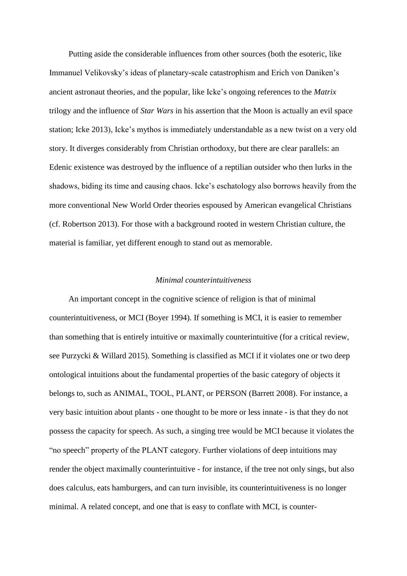Putting aside the considerable influences from other sources (both the esoteric, like Immanuel Velikovsky's ideas of planetary-scale catastrophism and Erich von Daniken's ancient astronaut theories, and the popular, like Icke's ongoing references to the *Matrix*  trilogy and the influence of *Star Wars* in his assertion that the Moon is actually an evil space station; Icke 2013), Icke's mythos is immediately understandable as a new twist on a very old story. It diverges considerably from Christian orthodoxy, but there are clear parallels: an Edenic existence was destroyed by the influence of a reptilian outsider who then lurks in the shadows, biding its time and causing chaos. Icke's eschatology also borrows heavily from the more conventional New World Order theories espoused by American evangelical Christians (cf. Robertson 2013). For those with a background rooted in western Christian culture, the material is familiar, yet different enough to stand out as memorable.

#### *Minimal counterintuitiveness*

An important concept in the cognitive science of religion is that of minimal counterintuitiveness, or MCI (Boyer 1994). If something is MCI, it is easier to remember than something that is entirely intuitive or maximally counterintuitive (for a critical review, see Purzycki & Willard 2015). Something is classified as MCI if it violates one or two deep ontological intuitions about the fundamental properties of the basic category of objects it belongs to, such as ANIMAL, TOOL, PLANT, or PERSON (Barrett 2008). For instance, a very basic intuition about plants - one thought to be more or less innate - is that they do not possess the capacity for speech. As such, a singing tree would be MCI because it violates the "no speech" property of the PLANT category. Further violations of deep intuitions may render the object maximally counterintuitive - for instance, if the tree not only sings, but also does calculus, eats hamburgers, and can turn invisible, its counterintuitiveness is no longer minimal. A related concept, and one that is easy to conflate with MCI, is counter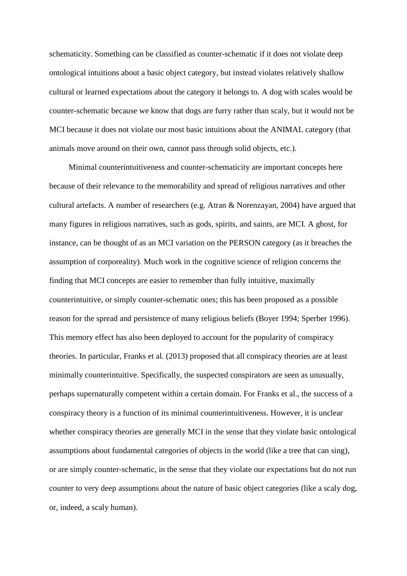schematicity. Something can be classified as counter-schematic if it does not violate deep ontological intuitions about a basic object category, but instead violates relatively shallow cultural or learned expectations about the category it belongs to. A dog with scales would be counter-schematic because we know that dogs are furry rather than scaly, but it would not be MCI because it does not violate our most basic intuitions about the ANIMAL category (that animals move around on their own, cannot pass through solid objects, etc.).

Minimal counterintuitiveness and counter-schematicity are important concepts here because of their relevance to the memorability and spread of religious narratives and other cultural artefacts. A number of researchers (e.g. Atran & Norenzayan, 2004) have argued that many figures in religious narratives, such as gods, spirits, and saints, are MCI. A ghost, for instance, can be thought of as an MCI variation on the PERSON category (as it breaches the assumption of corporeality). Much work in the cognitive science of religion concerns the finding that MCI concepts are easier to remember than fully intuitive, maximally counterintuitive, or simply counter-schematic ones; this has been proposed as a possible reason for the spread and persistence of many religious beliefs (Boyer 1994; Sperber 1996). This memory effect has also been deployed to account for the popularity of conspiracy theories. In particular, Franks et al. (2013) proposed that all conspiracy theories are at least minimally counterintuitive. Specifically, the suspected conspirators are seen as unusually, perhaps supernaturally competent within a certain domain. For Franks et al., the success of a conspiracy theory is a function of its minimal counterintuitiveness. However, it is unclear whether conspiracy theories are generally MCI in the sense that they violate basic ontological assumptions about fundamental categories of objects in the world (like a tree that can sing), or are simply counter-schematic, in the sense that they violate our expectations but do not run counter to very deep assumptions about the nature of basic object categories (like a scaly dog, or, indeed, a scaly human).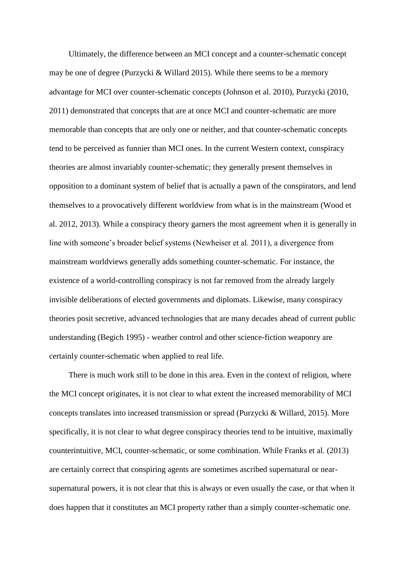Ultimately, the difference between an MCI concept and a counter-schematic concept may be one of degree (Purzycki & Willard 2015). While there seems to be a memory advantage for MCI over counter-schematic concepts (Johnson et al. 2010), Purzycki (2010, 2011) demonstrated that concepts that are at once MCI and counter-schematic are more memorable than concepts that are only one or neither, and that counter-schematic concepts tend to be perceived as funnier than MCI ones. In the current Western context, conspiracy theories are almost invariably counter-schematic; they generally present themselves in opposition to a dominant system of belief that is actually a pawn of the conspirators, and lend themselves to a provocatively different worldview from what is in the mainstream (Wood et al. 2012, 2013). While a conspiracy theory garners the most agreement when it is generally in line with someone's broader belief systems (Newheiser et al. 2011), a divergence from mainstream worldviews generally adds something counter-schematic. For instance, the existence of a world-controlling conspiracy is not far removed from the already largely invisible deliberations of elected governments and diplomats. Likewise, many conspiracy theories posit secretive, advanced technologies that are many decades ahead of current public understanding (Begich 1995) - weather control and other science-fiction weaponry are certainly counter-schematic when applied to real life.

There is much work still to be done in this area. Even in the context of religion, where the MCI concept originates, it is not clear to what extent the increased memorability of MCI concepts translates into increased transmission or spread (Purzycki & Willard, 2015). More specifically, it is not clear to what degree conspiracy theories tend to be intuitive, maximally counterintuitive, MCI, counter-schematic, or some combination. While Franks et al. (2013) are certainly correct that conspiring agents are sometimes ascribed supernatural or nearsupernatural powers, it is not clear that this is always or even usually the case, or that when it does happen that it constitutes an MCI property rather than a simply counter-schematic one.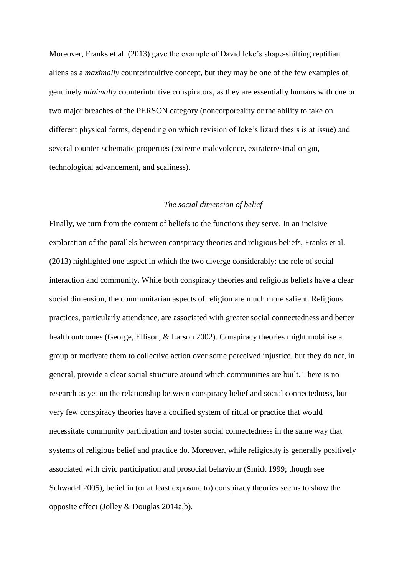Moreover, Franks et al. (2013) gave the example of David Icke's shape-shifting reptilian aliens as a *maximally* counterintuitive concept, but they may be one of the few examples of genuinely *minimally* counterintuitive conspirators, as they are essentially humans with one or two major breaches of the PERSON category (noncorporeality or the ability to take on different physical forms, depending on which revision of Icke's lizard thesis is at issue) and several counter-schematic properties (extreme malevolence, extraterrestrial origin, technological advancement, and scaliness).

#### *The social dimension of belief*

Finally, we turn from the content of beliefs to the functions they serve. In an incisive exploration of the parallels between conspiracy theories and religious beliefs, Franks et al. (2013) highlighted one aspect in which the two diverge considerably: the role of social interaction and community. While both conspiracy theories and religious beliefs have a clear social dimension, the communitarian aspects of religion are much more salient. Religious practices, particularly attendance, are associated with greater social connectedness and better health outcomes (George, Ellison, & Larson 2002). Conspiracy theories might mobilise a group or motivate them to collective action over some perceived injustice, but they do not, in general, provide a clear social structure around which communities are built. There is no research as yet on the relationship between conspiracy belief and social connectedness, but very few conspiracy theories have a codified system of ritual or practice that would necessitate community participation and foster social connectedness in the same way that systems of religious belief and practice do. Moreover, while religiosity is generally positively associated with civic participation and prosocial behaviour (Smidt 1999; though see Schwadel 2005), belief in (or at least exposure to) conspiracy theories seems to show the opposite effect (Jolley & Douglas 2014a,b).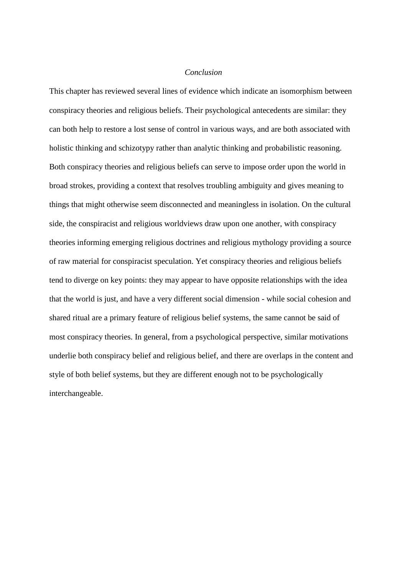#### *Conclusion*

This chapter has reviewed several lines of evidence which indicate an isomorphism between conspiracy theories and religious beliefs. Their psychological antecedents are similar: they can both help to restore a lost sense of control in various ways, and are both associated with holistic thinking and schizotypy rather than analytic thinking and probabilistic reasoning. Both conspiracy theories and religious beliefs can serve to impose order upon the world in broad strokes, providing a context that resolves troubling ambiguity and gives meaning to things that might otherwise seem disconnected and meaningless in isolation. On the cultural side, the conspiracist and religious worldviews draw upon one another, with conspiracy theories informing emerging religious doctrines and religious mythology providing a source of raw material for conspiracist speculation. Yet conspiracy theories and religious beliefs tend to diverge on key points: they may appear to have opposite relationships with the idea that the world is just, and have a very different social dimension - while social cohesion and shared ritual are a primary feature of religious belief systems, the same cannot be said of most conspiracy theories. In general, from a psychological perspective, similar motivations underlie both conspiracy belief and religious belief, and there are overlaps in the content and style of both belief systems, but they are different enough not to be psychologically interchangeable.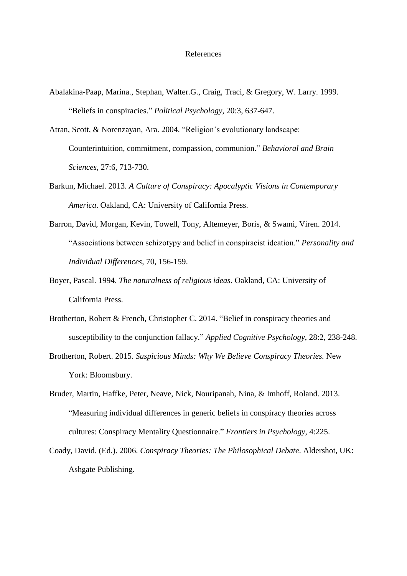#### References

- Abalakina-Paap, Marina., Stephan, Walter.G., Craig, Traci, & Gregory, W. Larry. 1999. "Beliefs in conspiracies." *Political Psychology*, 20:3, 637-647.
- Atran, Scott, & Norenzayan, Ara. 2004. "Religion's evolutionary landscape: Counterintuition, commitment, compassion, communion." *Behavioral and Brain Sciences*, 27:6, 713-730.
- Barkun, Michael. 2013. *A Culture of Conspiracy: Apocalyptic Visions in Contemporary America*. Oakland, CA: University of California Press.
- Barron, David, Morgan, Kevin, Towell, Tony, Altemeyer, Boris, & Swami, Viren. 2014. "Associations between schizotypy and belief in conspiracist ideation." *Personality and Individual Differences*, 70, 156-159.
- Boyer, Pascal. 1994. *The naturalness of religious ideas*. Oakland, CA: University of California Press.
- Brotherton, Robert & French, Christopher C. 2014. "Belief in conspiracy theories and susceptibility to the conjunction fallacy." *Applied Cognitive Psychology*, 28:2, 238-248.
- Brotherton, Robert. 2015. *Suspicious Minds: Why We Believe Conspiracy Theories.* New York: Bloomsbury.
- Bruder, Martin, Haffke, Peter, Neave, Nick, Nouripanah, Nina, & Imhoff, Roland. 2013. "Measuring individual differences in generic beliefs in conspiracy theories across cultures: Conspiracy Mentality Questionnaire." *Frontiers in Psychology*, 4:225.
- Coady, David. (Ed.). 2006. *Conspiracy Theories: The Philosophical Debate*. Aldershot, UK: Ashgate Publishing.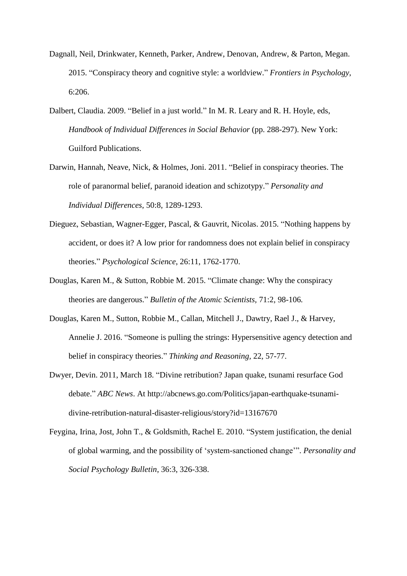- Dagnall, Neil, Drinkwater, Kenneth, Parker, Andrew, Denovan, Andrew, & Parton, Megan. 2015. "Conspiracy theory and cognitive style: a worldview." *Frontiers in Psychology*, 6:206.
- Dalbert, Claudia. 2009. "Belief in a just world." In M. R. Leary and R. H. Hoyle, eds, *Handbook of Individual Differences in Social Behavior* (pp. 288-297). New York: Guilford Publications.
- Darwin, Hannah, Neave, Nick, & Holmes, Joni. 2011. "Belief in conspiracy theories. The role of paranormal belief, paranoid ideation and schizotypy." *Personality and Individual Differences*, 50:8, 1289-1293.
- Dieguez, Sebastian, Wagner-Egger, Pascal, & Gauvrit, Nicolas. 2015. "Nothing happens by accident, or does it? A low prior for randomness does not explain belief in conspiracy theories." *Psychological Science*, 26:11, 1762-1770.
- Douglas, Karen M., & Sutton, Robbie M. 2015. "Climate change: Why the conspiracy theories are dangerous." *Bulletin of the Atomic Scientists,* 71:2*,* 98-106*.*
- Douglas, Karen M., Sutton, Robbie M., Callan, Mitchell J., Dawtry, Rael J., & Harvey, Annelie J. 2016. "Someone is pulling the strings: Hypersensitive agency detection and belief in conspiracy theories." *Thinking and Reasoning,* 22*,* 57-77.
- Dwyer, Devin. 2011, March 18. "Divine retribution? Japan quake, tsunami resurface God debate." *ABC News*. At http://abcnews.go.com/Politics/japan-earthquake-tsunamidivine-retribution-natural-disaster-religious/story?id=13167670
- Feygina, Irina, Jost, John T., & Goldsmith, Rachel E. 2010. "System justification, the denial of global warming, and the possibility of 'system-sanctioned change'". *Personality and Social Psychology Bulletin*, 36:3, 326-338.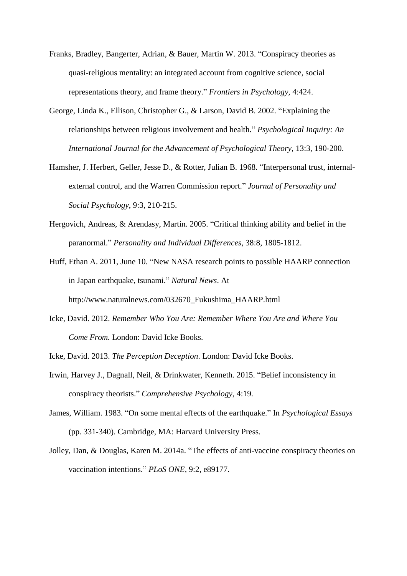- Franks, Bradley, Bangerter, Adrian, & Bauer, Martin W. 2013. "Conspiracy theories as quasi-religious mentality: an integrated account from cognitive science, social representations theory, and frame theory." *Frontiers in Psychology*, 4:424.
- George, Linda K., Ellison, Christopher G., & Larson, David B. 2002. "Explaining the relationships between religious involvement and health." *Psychological Inquiry: An International Journal for the Advancement of Psychological Theory*, 13:3, 190-200.
- Hamsher, J. Herbert, Geller, Jesse D., & Rotter, Julian B. 1968. "Interpersonal trust, internalexternal control, and the Warren Commission report." *Journal of Personality and Social Psychology*, 9:3, 210-215.
- Hergovich, Andreas, & Arendasy, Martin. 2005. "Critical thinking ability and belief in the paranormal." *Personality and Individual Differences*, 38:8, 1805-1812.
- Huff, Ethan A. 2011, June 10. "New NASA research points to possible HAARP connection in Japan earthquake, tsunami." *Natural News*. At http://www.naturalnews.com/032670\_Fukushima\_HAARP.html
- Icke, David. 2012. *Remember Who You Are: Remember Where You Are and Where You Come From.* London: David Icke Books.
- Icke, David. 2013. *The Perception Deception*. London: David Icke Books.
- Irwin, Harvey J., Dagnall, Neil, & Drinkwater, Kenneth. 2015. "Belief inconsistency in conspiracy theorists." *Comprehensive Psychology*, 4:19.
- James, William. 1983. "On some mental effects of the earthquake." In *Psychological Essays* (pp. 331-340). Cambridge, MA: Harvard University Press.
- Jolley, Dan, & Douglas, Karen M. 2014a. "The effects of anti-vaccine conspiracy theories on vaccination intentions." *PLoS ONE,* 9:2, e89177.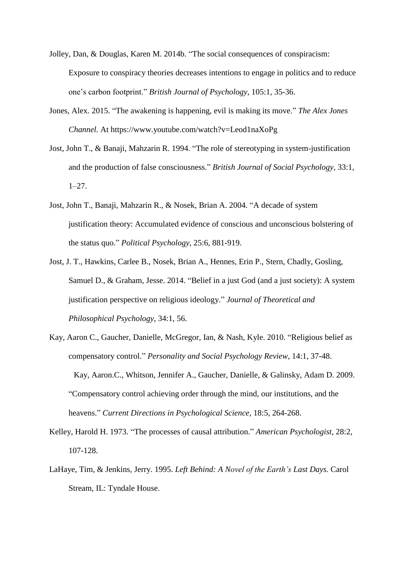- Jolley, Dan, & Douglas, Karen M. 2014b. "The social consequences of conspiracism: Exposure to conspiracy theories decreases intentions to engage in politics and to reduce one's carbon footprint." *British Journal of Psychology*, 105:1*,* 35-36.
- Jones, Alex. 2015. "The awakening is happening, evil is making its move." *The Alex Jones Channel.* At https://www.youtube.com/watch?v=Leod1naXoPg
- Jost, John T., & Banaji, Mahzarin R. 1994. "The role of stereotyping in system-justification and the production of false consciousness." *British Journal of Social Psychology,* 33:1,  $1-27.$
- Jost, John T., Banaji, Mahzarin R., & Nosek, Brian A. 2004. "A decade of system justification theory: Accumulated evidence of conscious and unconscious bolstering of the status quo." *Political Psychology*, 25:6, 881-919.
- Jost, J. T., Hawkins, Carlee B., Nosek, Brian A., Hennes, Erin P., Stern, Chadly, Gosling, Samuel D., & Graham, Jesse. 2014. "Belief in a just God (and a just society): A system justification perspective on religious ideology." *Journal of Theoretical and Philosophical Psychology*, 34:1, 56.
- Kay, Aaron C., Gaucher, Danielle, McGregor, Ian, & Nash, Kyle. 2010. "Religious belief as compensatory control." *Personality and Social Psychology Review*, 14:1, 37-48. Kay, Aaron.C., Whitson, Jennifer A., Gaucher, Danielle, & Galinsky, Adam D. 2009. "Compensatory control achieving order through the mind, our institutions, and the heavens." *Current Directions in Psychological Science*, 18:5, 264-268.
- Kelley, Harold H. 1973. "The processes of causal attribution." *American Psychologist*, 28:2, 107-128.
- LaHaye, Tim, & Jenkins, Jerry. 1995. *Left Behind: A Novel of the Earth's Last Days.* Carol Stream, IL: Tyndale House.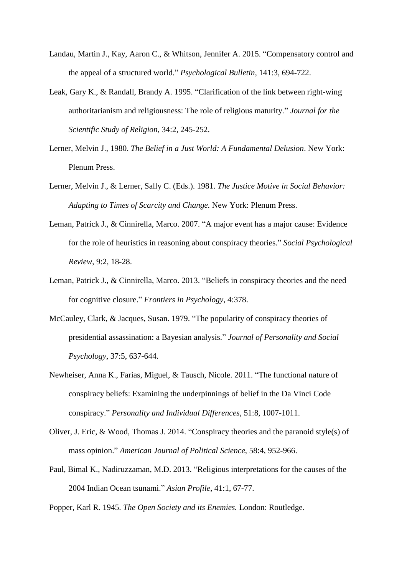- Landau, Martin J., Kay, Aaron C., & Whitson, Jennifer A. 2015. "Compensatory control and the appeal of a structured world." *Psychological Bulletin*, 141:3, 694-722.
- Leak, Gary K., & Randall, Brandy A. 1995. "Clarification of the link between right-wing authoritarianism and religiousness: The role of religious maturity." *Journal for the Scientific Study of Religion*, 34:2, 245-252.
- Lerner, Melvin J., 1980. *The Belief in a Just World: A Fundamental Delusion*. New York: Plenum Press.
- Lerner, Melvin J., & Lerner, Sally C. (Eds.). 1981. *The Justice Motive in Social Behavior: Adapting to Times of Scarcity and Change.* New York: Plenum Press.
- Leman, Patrick J., & Cinnirella, Marco. 2007. "A major event has a major cause: Evidence for the role of heuristics in reasoning about conspiracy theories." *Social Psychological Review*, 9:2, 18-28.
- Leman, Patrick J., & Cinnirella, Marco. 2013. "Beliefs in conspiracy theories and the need for cognitive closure." *Frontiers in Psychology*, 4:378.
- McCauley, Clark, & Jacques, Susan. 1979. "The popularity of conspiracy theories of presidential assassination: a Bayesian analysis." *Journal of Personality and Social Psychology*, 37:5, 637-644.
- Newheiser, Anna K., Farias, Miguel, & Tausch, Nicole. 2011. "The functional nature of conspiracy beliefs: Examining the underpinnings of belief in the Da Vinci Code conspiracy." *Personality and Individual Differences*, 51:8, 1007-1011.
- Oliver, J. Eric, & Wood, Thomas J. 2014. "Conspiracy theories and the paranoid style(s) of mass opinion." *American Journal of Political Science*, 58:4, 952-966.
- Paul, Bimal K., Nadiruzzaman, M.D. 2013. "Religious interpretations for the causes of the 2004 Indian Ocean tsunami." *Asian Profile*, 41:1, 67-77.

Popper, Karl R. 1945. *The Open Society and its Enemies.* London: Routledge.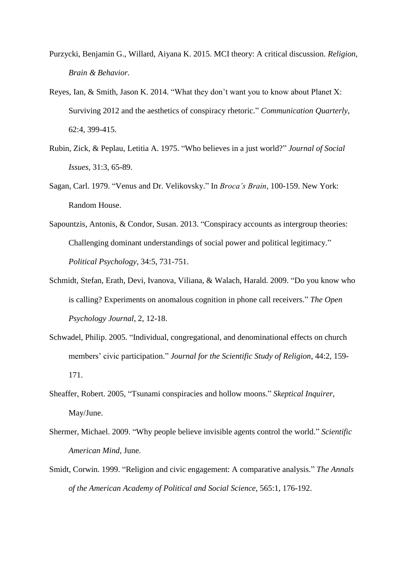- Purzycki, Benjamin G., Willard, Aiyana K. 2015. MCI theory: A critical discussion. *Religion, Brain & Behavior.*
- Reyes, Ian, & Smith, Jason K. 2014. "What they don't want you to know about Planet X: Surviving 2012 and the aesthetics of conspiracy rhetoric." *Communication Quarterly,*  62:4, 399-415.
- Rubin, Zick, & Peplau, Letitia A. 1975. "Who believes in a just world?" *Journal of Social Issues*, 31:3, 65-89.
- Sagan, Carl. 1979. "Venus and Dr. Velikovsky." In *Broca's Brain*, 100-159. New York: Random House.
- Sapountzis, Antonis, & Condor, Susan. 2013. "Conspiracy accounts as intergroup theories: Challenging dominant understandings of social power and political legitimacy." *Political Psychology*, 34:5, 731-751.
- Schmidt, Stefan, Erath, Devi, Ivanova, Viliana, & Walach, Harald. 2009. "Do you know who is calling? Experiments on anomalous cognition in phone call receivers." *The Open Psychology Journal*, 2, 12-18.
- Schwadel, Philip. 2005. "Individual, congregational, and denominational effects on church members' civic participation." *Journal for the Scientific Study of Religion*, 44:2, 159- 171.
- Sheaffer, Robert. 2005, "Tsunami conspiracies and hollow moons." *Skeptical Inquirer,*  May/June.
- Shermer, Michael. 2009. "Why people believe invisible agents control the world." *Scientific American Mind*, June.
- Smidt, Corwin. 1999. "Religion and civic engagement: A comparative analysis." *The Annals of the American Academy of Political and Social Science*, 565:1, 176-192.